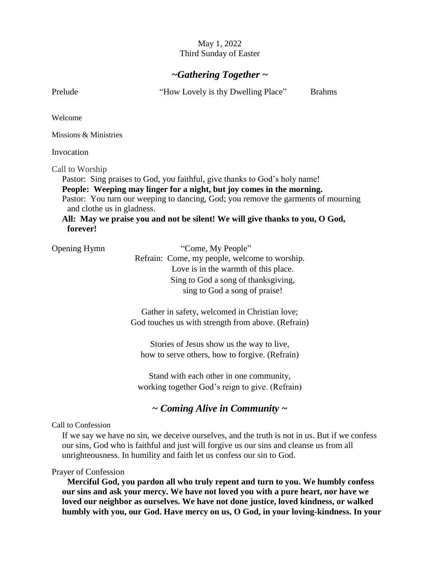#### May 1, 2022 Third Sunday of Easter

## *~Gathering Together ~*

Prelude "How Lovely is thy Dwelling Place" Brahms Welcome Missions & Ministries Invocation Call to Worship Pastor: Sing praises to God, you faithful, give thanks to God's holy name! **People: Weeping may linger for a night, but joy comes in the morning.**  Pastor: You turn our weeping to dancing, God; you remove the garments of mourning and clothe us in gladness. **All: May we praise you and not be silent! We will give thanks to you, O God, forever!**

Opening Hymn"Come, My People" Refrain: Come, my people, welcome to worship. Love is in the warmth of this place. Sing to God a song of thanksgiving, sing to God a song of praise!

> Gather in safety, welcomed in Christian love; God touches us with strength from above. (Refrain)

Stories of Jesus show us the way to live, how to serve others, how to forgive. (Refrain)

Stand with each other in one community, working together God's reign to give. (Refrain)

*~ Coming Alive in Community ~*

Call to Confession

If we say we have no sin, we deceive ourselves, and the truth is not in us. But if we confess our sins, God who is faithful and just will forgive us our sins and cleanse us from all unrighteousness. In humility and faith let us confess our sin to God.

#### Prayer of Confession

**Merciful God, you pardon all who truly repent and turn to you. We humbly confess our sins and ask your mercy. We have not loved you with a pure heart, nor have we loved our neighbor as ourselves. We have not done justice, loved kindness, or walked humbly with you, our God. Have mercy on us, O God, in your loving-kindness. In your**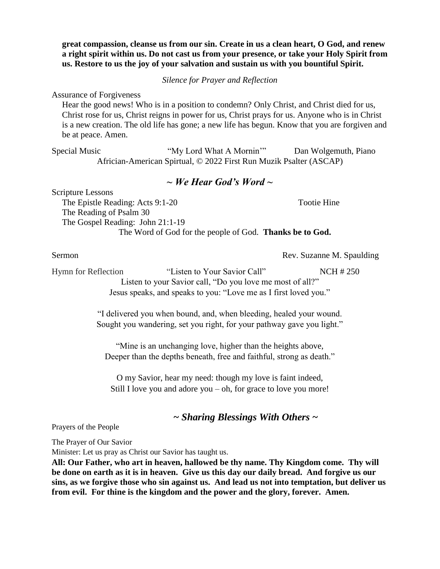**great compassion, cleanse us from our sin. Create in us a clean heart, O God, and renew a right spirit within us. Do not cast us from your presence, or take your Holy Spirit from us. Restore to us the joy of your salvation and sustain us with you bountiful Spirit.** 

*Silence for Prayer and Reflection*

Assurance of Forgiveness

Hear the good news! Who is in a position to condemn? Only Christ, and Christ died for us, Christ rose for us, Christ reigns in power for us, Christ prays for us. Anyone who is in Christ is a new creation. The old life has gone; a new life has begun. Know that you are forgiven and be at peace. Amen.

Special Music "My Lord What A Mornin'" Dan Wolgemuth, Piano Africian-American Spirtual, © 2022 First Run Muzik Psalter (ASCAP)

### *~ We Hear God's Word ~*

Scripture Lessons The Epistle Reading: Acts 9:1-20 The Reading of Psalm 30 The Gospel Reading: John 21:1-19 The Word of God for the people of God. **Thanks be to God.**

Sermon Rev. Suzanne M. Spaulding

Hymn for Reflection "Listen to Your Savior Call" **NCH # 250** Listen to your Savior call, "Do you love me most of all?" Jesus speaks, and speaks to you: "Love me as I first loved you."

> "I delivered you when bound, and, when bleeding, healed your wound. Sought you wandering, set you right, for your pathway gave you light."

"Mine is an unchanging love, higher than the heights above, Deeper than the depths beneath, free and faithful, strong as death."

O my Savior, hear my need: though my love is faint indeed, Still I love you and adore you – oh, for grace to love you more!

*~ Sharing Blessings With Others ~*

Prayers of the People

The Prayer of Our Savior

Minister: Let us pray as Christ our Savior has taught us.

**All: Our Father, who art in heaven, hallowed be thy name. Thy Kingdom come. Thy will be done on earth as it is in heaven. Give us this day our daily bread. And forgive us our sins, as we forgive those who sin against us. And lead us not into temptation, but deliver us from evil. For thine is the kingdom and the power and the glory, forever. Amen.**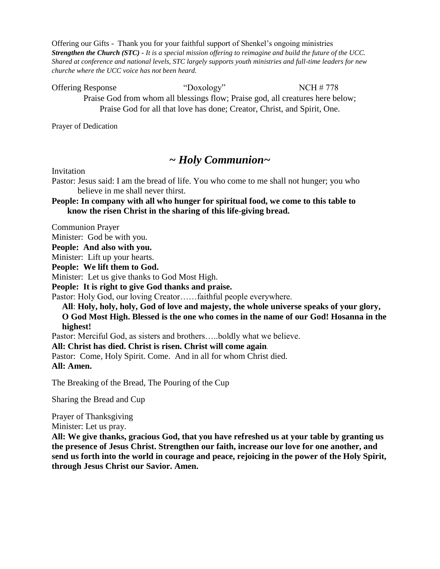Offering our Gifts - Thank you for your faithful support of Shenkel's ongoing ministries *Strengthen the Church (STC) - It is a special mission offering to reimagine and build the future of the UCC. Shared at conference and national levels, STC largely supports youth ministries and full-time leaders for new churche where the UCC voice has not been heard.* 

Offering Response "Doxology" NCH # 778 Praise God from whom all blessings flow; Praise god, all creatures here below; Praise God for all that love has done; Creator, Christ, and Spirit, One.

Prayer of Dedication

# *~ Holy Communion~*

Invitation

Pastor: Jesus said: I am the bread of life. You who come to me shall not hunger; you who believe in me shall never thirst.

**People: In company with all who hunger for spiritual food, we come to this table to know the risen Christ in the sharing of this life-giving bread.** 

Communion Prayer

Minister: God be with you.

**People: And also with you.**

Minister: Lift up your hearts.

**People: We lift them to God.**

Minister: Let us give thanks to God Most High.

**People: It is right to give God thanks and praise.**

Pastor: Holy God, our loving Creator……faithful people everywhere.

**All**: **Holy, holy, holy, God of love and majesty, the whole universe speaks of your glory, O God Most High. Blessed is the one who comes in the name of our God! Hosanna in the highest!**

Pastor: Merciful God, as sisters and brothers…..boldly what we believe.

**All: Christ has died. Christ is risen. Christ will come again**.

Pastor: Come, Holy Spirit. Come. And in all for whom Christ died. **All: Amen.** 

The Breaking of the Bread, The Pouring of the Cup

Sharing the Bread and Cup

Prayer of Thanksgiving

Minister: Let us pray.

**All: We give thanks, gracious God, that you have refreshed us at your table by granting us the presence of Jesus Christ. Strengthen our faith, increase our love for one another, and send us forth into the world in courage and peace, rejoicing in the power of the Holy Spirit, through Jesus Christ our Savior. Amen.**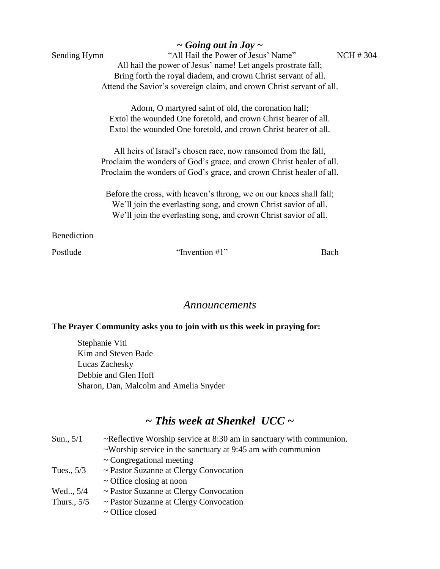|              | $\sim$ Going out in Joy $\sim$                                        |                 |  |
|--------------|-----------------------------------------------------------------------|-----------------|--|
| Sending Hymn | "All Hail the Power of Jesus' Name"                                   | <b>NCH #304</b> |  |
|              | All hail the power of Jesus' name! Let angels prostrate fall;         |                 |  |
|              | Bring forth the royal diadem, and crown Christ servant of all.        |                 |  |
|              | Attend the Savior's sovereign claim, and crown Christ servant of all. |                 |  |
|              | Adorn, O martyred saint of old, the coronation hall;                  |                 |  |
|              | Extol the wounded One foretold, and crown Christ bearer of all.       |                 |  |
|              | Extol the wounded One foretold, and crown Christ bearer of all.       |                 |  |
|              | All heirs of Israel's chosen race, now ransomed from the fall,        |                 |  |
|              | Proclaim the wonders of God's grace, and crown Christ healer of all.  |                 |  |
|              | Proclaim the wonders of God's grace, and crown Christ healer of all.  |                 |  |
|              | Before the cross, with heaven's throng, we on our knees shall fall;   |                 |  |
|              | We'll join the everlasting song, and crown Christ savior of all.      |                 |  |
|              | We'll join the everlasting song, and crown Christ savior of all.      |                 |  |
| Benediction  |                                                                       |                 |  |
| Postlude     | "Invention $#1"$<br>Bach                                              |                 |  |

## *Announcements*

### **The Prayer Community asks you to join with us this week in praying for:**

Stephanie Viti Kim and Steven Bade Lucas Zachesky Debbie and Glen Hoff Sharon, Dan, Malcolm and Amelia Snyder

# *~ This week at Shenkel UCC ~*

| Sun., $5/1$   | $\sim$ Reflective Worship service at 8:30 am in sanctuary with communion. |  |
|---------------|---------------------------------------------------------------------------|--|
|               | $\sim$ Worship service in the sanctuary at 9:45 am with communion         |  |
|               | $\sim$ Congregational meeting                                             |  |
| Tues., $5/3$  | ~ Pastor Suzanne at Clergy Convocation                                    |  |
|               | $\sim$ Office closing at noon                                             |  |
| Wed., 5/4     | $\sim$ Pastor Suzanne at Clergy Convocation                               |  |
| Thurs., $5/5$ | ~ Pastor Suzanne at Clergy Convocation                                    |  |
|               | $\sim$ Office closed                                                      |  |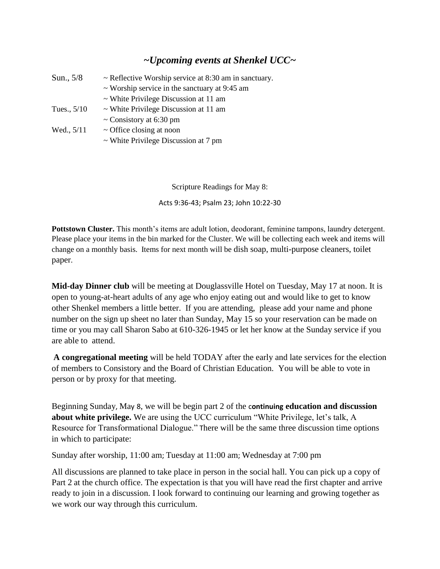### *~Upcoming events at Shenkel UCC~*

| Sun., 5/8     | $\sim$ Reflective Worship service at 8:30 am in sanctuary. |
|---------------|------------------------------------------------------------|
|               | $\sim$ Worship service in the sanctuary at 9:45 am         |
|               | $\sim$ White Privilege Discussion at 11 am                 |
| Tues., $5/10$ | $\sim$ White Privilege Discussion at 11 am                 |
|               | $\sim$ Consistory at 6:30 pm                               |
| Wed., $5/11$  | $\sim$ Office closing at noon                              |
|               | $\sim$ White Privilege Discussion at 7 pm                  |

Scripture Readings for May 8: Acts 9:36-43; Psalm 23; John 10:22-30

**Pottstown Cluster.** This month's items are adult lotion, deodorant, feminine tampons, laundry detergent. Please place your items in the bin marked for the Cluster. We will be collecting each week and items will change on a monthly basis. Items for next month will be dish soap, multi-purpose cleaners, toilet paper.

**Mid-day Dinner club** will be meeting at Douglassville Hotel on Tuesday, May 17 at noon. It is open to young-at-heart adults of any age who enjoy eating out and would like to get to know other Shenkel members a little better. If you are attending, please add your name and phone number on the sign up sheet no later than Sunday, May 15 so your reservation can be made on time or you may call Sharon Sabo at 610-326-1945 or let her know at the Sunday service if you are able to attend.

**A congregational meeting** will be held TODAY after the early and late services for the election of members to Consistory and the Board of Christian Education. You will be able to vote in person or by proxy for that meeting.

Beginning Sunday, May 8, we will be begin part 2 of the c**ontinuing education and discussion about white privilege.** We are using the UCC curriculum "White Privilege, let's talk, A Resource for Transformational Dialogue." There will be the same three discussion time options in which to participate:

Sunday after worship, 11:00 am; Tuesday at 11:00 am; Wednesday at 7:00 pm

All discussions are planned to take place in person in the social hall. You can pick up a copy of Part 2 at the church office. The expectation is that you will have read the first chapter and arrive ready to join in a discussion. I look forward to continuing our learning and growing together as we work our way through this curriculum.